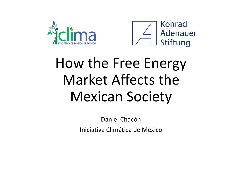



# How the Free Energy Market Affects theMexican Society

Daniel ChacónIniciativa Climática de México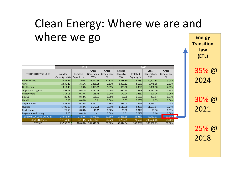## Clean Energy: Where we are and where we go

|                                | 2014          |             |             |             | 2015      |             |             |             |
|--------------------------------|---------------|-------------|-------------|-------------|-----------|-------------|-------------|-------------|
|                                |               |             | Gross       | Gross       | Installed |             | Gross       | Gross       |
| TECHNOLOGY/SOURCE              | Installed     | Installed   | Generation, | Generation, | Capacity, | Installed   | Generation, | Generation, |
|                                | Capacity (MW) | Capacity, % | GWh         | %           | <b>MW</b> | Capacity, % | GWh         | %           |
| <b>Hydroelectric</b>           | 12,428.71     | 18.96%      | 38,822.36   | 12.87%      | 12,488.50 | 18.35%      | 30,891.54   | 9.98%       |
| Wind                           | 2,036.42      | 3.11%       | 6,426.25    | 2.13%       | 2,805.12  | 4.12%       | 8,745.15    | 2.83%       |
| Geothermal                     | 813.40        | 1.24%       | 5,999.65    | 1.99%       | 925.60    | 1.36%       | 6,330.98    | 2.05%       |
| Sugar cane bagasse             | 599.18        | 0.91%       | 1,220.76    | 0.40%       | 670.18    | 0.98%       | 1,187.26    | 0.38%       |
| <b>Photovoltaic</b>            | 114.16        | 0.17%       | 135.49      | 0.04%       | 170.24    | 0.25%       | 190.26      | 0.06%       |
| <b>Biogas</b>                  | 85.26         | 0.13%       | 191.33      | 0.06%       | 80.80     | 0.12%       | 203.57      | 0.07%       |
| <b>Hybrid</b>                  | 0.06          | 0.00%       | 0.11        | 0.00%       | 0.05      | 0.00%       | 0.05        | 0.00%       |
| Cogeneration                   | 558.65        | 0.85%       | 2,892.01    | 0.96%       | 583.05    | 0.86%       | 3,795.22    | 1.23%       |
| <b>Nuclear</b>                 | 1,400.00      | 2.14%       | 9,677.20    | 3.21%       | 1,510.00  | 2.22%       | 11,577.14   | 3.74%       |
| <b>Black Liquor</b>            | 25.50         | 0.04%       | 10.15       | 0.00%       | 25.50     | 0.04%       | 27.36       | 0.01%       |
| Regenerative braking           | 7.00          | $0.01\%$    |             | 0.00%       | 6.61      | 0.01%       | 3.60        | 0.00%       |
| <b>SUBTOTAL CLEAN ENERGIES</b> | 18,068.34     | 27.57%      | 65,375.31   | 21.68%      | 19,265.65 | 28.31%      | 62,952.13   | 20.34%      |
| <b>FOSSIL ENERGIES</b>         | 47,469.95     | 72.43%      | 236,171.67  | 78.32%      | 48,778.39 | 71.69%      | 246,600.66  | 79.66%      |
| <b>TOTALS</b>                  | 65,538.29     | 100.00%     | 301,546.98  | 100.00%     | 68,044.04 | 100.00%     | 309,552.79  | 100.00%     |

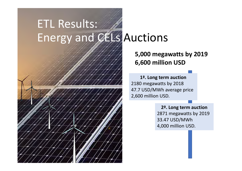# ETL Results: Energy and CELs Auctions

#### **5,000 megawatts by 2019 6,600 million USD**

**1ª. Long term auction** 2180 megawatts by 2018 47.7 USD/MWh average price 2,600 million USD.

> **2ª. Long term auction** 2871 megawatts by 2019 33.47 USD/MWh 4,000 million USD.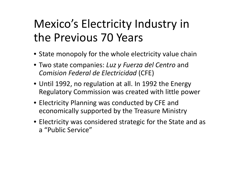## Mexico's Electricity Industry in the Previous 70 Years

- State monopoly for the whole electricity value chain
- Two state companies: *Luz y Fuerza del Centro* and *Comision Federal de Electricidad* (CFE)
- Until 1992, no regulation at all. In 1992 the Energy Regulatory Commission was created with little power
- Electricity Planning was conducted by CFE and economically supported by the Treasure Ministry
- Electricity was considered strategic for the State and as a "Public Service"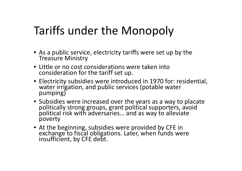## Tariffs under the Monopoly

- As a public service, electricity tariffs were set up by the Treasure Ministry
- Little or no cost considerations were taken into consideration for the tariff set up.
- Electricity subsidies were introduced in 1970 for: residential, water irrigation, and public services (potable water<br>pumping)
- Subsidies were increasedpolitically strong groups, grant political supporters, avoid political risk with adversaries... and as way to alleviate poverty
- At theexchange to fiscal obligations. Later, when funds were insufficient, by CFE debt.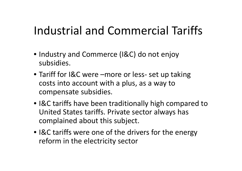## Industrial and Commercial Tariffs

- Industry and Commerce (I&C) do not enjoy subsidies.
- Tariff for I&C were –more or less‐ set up taking costs into account with <sup>a</sup> plus, as <sup>a</sup> way to compensate subsidies.
- I&C tariffs have been traditionally high compared to United States tariffs. Private sector always has complained about this subject.
- I&C tariffs were one of the drivers for the energy reform in the electricity sector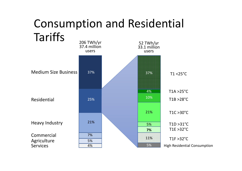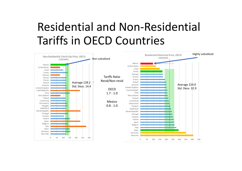### Residential and Non‐Residential Tariffs in OECD Countries

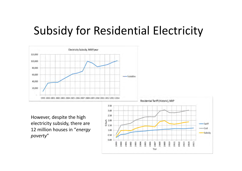## Subsidy for Residential Electricity



However, despite the high electricity subsidy, there are 12 million houses in "*energy poverty*"

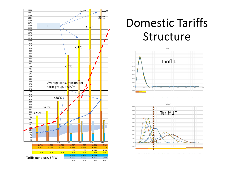

### Domestic Tariffs Structure



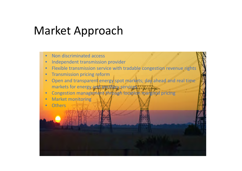#### Market Approach

- •• Non discriminated access
- •Independent transmission provider
- •• Flexible transmission service with tradable congestion revenue rights
- •**•** Transmission pricing reform
- •Open and transparent energy spot markets; day ahead and real time markets for energy and anothery services
- $\bullet$ Congestion management through location margin and pricing
- $\bullet$ Market monitoring
- $\bullet$ **Others**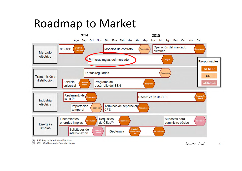#### Roadmap to Market



(1) LIE: Ley de la Industria Eléctrica

(2) CEL: Certificado de Energía Limpia

*Source: PwC*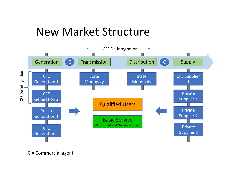#### New Market Structure



C <sup>=</sup> Commercial agent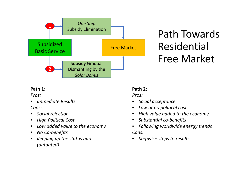

#### Path Towards Residential Free Market

#### **Path 1:**

*Pros:*

•*Immediate Results*

*Cons:*

- •*Social rejection*
- •*High Political Cost*
- •*Low added value to the economy*
- $\bullet$ *No Co‐benefits*
- $\bullet$  *Keeping up the status quo (outdated)*

#### **Path 2:**

*Pros:*

- •*Social acceptance*
- •*Low or no political cost*
- •*High value added to the economy*
- •*Substantial co‐benefits*
- • *Following worldwide energy trends Cons:*
- $\bullet$ *Stepwise steps to results*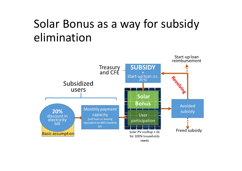## Solar Bonus as a way for subsidy elimination

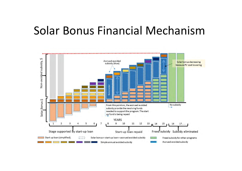#### Solar Bonus Financial Mechanism

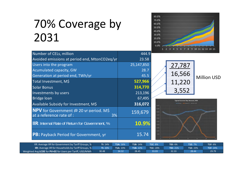## 70% Coverage by 2031



| Number of CELs, million                                                        | 444.9      |  |  |
|--------------------------------------------------------------------------------|------------|--|--|
| Avoided emissions at period end, MtonCO2eq/yr                                  | 23.58      |  |  |
| Users into the program                                                         | 25,147,850 |  |  |
| <b>Acumulated capacity, GW</b>                                                 | 28.7       |  |  |
| Generation at period end, TWh/yr                                               | 45.5       |  |  |
| Total Investment, M\$                                                          | 527,966    |  |  |
| <b>Solar Bonus</b>                                                             | 314,770    |  |  |
| Investments by users                                                           | 213,196    |  |  |
| <b>Bridge loan</b>                                                             | 67,495     |  |  |
| Available Subsidy for Investment, M\$                                          | 316,072    |  |  |
| <b>NPV</b> for Government @ 20 yr period. MS<br>at a reference rate of :<br>3% | 159,679    |  |  |
| <b>IIR:</b> Internal Rate of Return for Government, %                          | 10.9%      |  |  |
| <b>PB:</b> Payback Period for Government, yr                                   | 15.74      |  |  |





| IIR: Average IIR for Government by Tariff Groups, %  \     | TI: 24% | <b>T1A: 16%</b> | <b>T1B: 14%</b> | <b>T1C: 8%</b> | TID: 6%         | <b>T1E: 7%</b> | TIF: 6%         |
|------------------------------------------------------------|---------|-----------------|-----------------|----------------|-----------------|----------------|-----------------|
| <b>IIR:</b> Average IIR for Households by Tariff Groups, % | TI: 20% | T1A: 23%        | T1B: 22%        | TT1C: 20%      | <b>TID: 21%</b> | TIE: 23%       | <b>T1F: 24%</b> |
| Weighted Avg LCOE for PV+EE for Users per Tariff, USD/MWh  | 30.48   | 84.32           | 28.45           | 33.03'         | 32.33           | 28.44          | 29.79           |